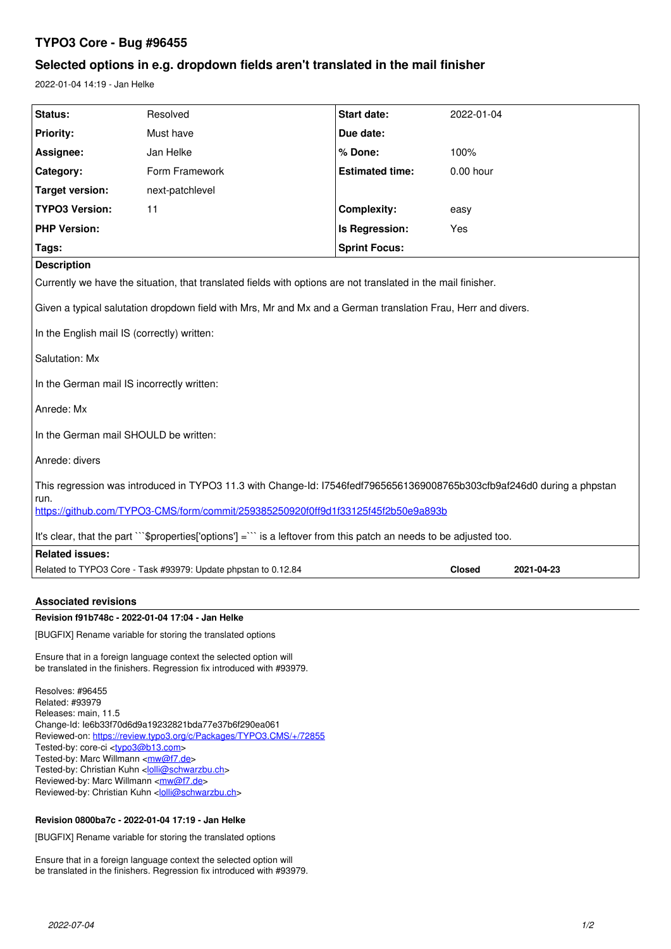# **TYPO3 Core - Bug #96455**

# **Selected options in e.g. dropdown fields aren't translated in the mail finisher**

2022-01-04 14:19 - Jan Helke

| Status:                                                                                                                         | Resolved                                                       | Start date:            | 2022-01-04    |            |
|---------------------------------------------------------------------------------------------------------------------------------|----------------------------------------------------------------|------------------------|---------------|------------|
| <b>Priority:</b>                                                                                                                | Must have                                                      | Due date:              |               |            |
| Assignee:                                                                                                                       | Jan Helke                                                      | % Done:                | 100%          |            |
| Category:                                                                                                                       | Form Framework                                                 | <b>Estimated time:</b> | $0.00$ hour   |            |
| <b>Target version:</b>                                                                                                          | next-patchlevel                                                |                        |               |            |
| <b>TYPO3 Version:</b>                                                                                                           | 11                                                             | <b>Complexity:</b>     | easy          |            |
| <b>PHP Version:</b>                                                                                                             |                                                                | Is Regression:         | Yes           |            |
| Tags:                                                                                                                           |                                                                | <b>Sprint Focus:</b>   |               |            |
| <b>Description</b>                                                                                                              |                                                                |                        |               |            |
| Currently we have the situation, that translated fields with options are not translated in the mail finisher.                   |                                                                |                        |               |            |
| Given a typical salutation dropdown field with Mrs, Mr and Mx and a German translation Frau, Herr and divers.                   |                                                                |                        |               |            |
| In the English mail IS (correctly) written:                                                                                     |                                                                |                        |               |            |
| Salutation: Mx                                                                                                                  |                                                                |                        |               |            |
| In the German mail IS incorrectly written:                                                                                      |                                                                |                        |               |            |
| Anrede: Mx                                                                                                                      |                                                                |                        |               |            |
| In the German mail SHOULD be written:                                                                                           |                                                                |                        |               |            |
| Anrede: divers                                                                                                                  |                                                                |                        |               |            |
| This regression was introduced in TYPO3 11.3 with Change-Id: I7546fedf79656561369008765b303cfb9af246d0 during a phpstan<br>run. |                                                                |                        |               |            |
| https://github.com/TYPO3-CMS/form/commit/259385250920f0ff9d1f33125f45f2b50e9a893b                                               |                                                                |                        |               |            |
| It's clear, that the part ""\$properties['options'] = " is a leftover from this patch an needs to be adjusted too.              |                                                                |                        |               |            |
| <b>Related issues:</b>                                                                                                          |                                                                |                        |               |            |
|                                                                                                                                 | Related to TYPO3 Core - Task #93979: Update phpstan to 0.12.84 |                        | <b>Closed</b> | 2021-04-23 |
|                                                                                                                                 |                                                                |                        |               |            |
| <b>Associated revisions</b>                                                                                                     |                                                                |                        |               |            |
| Revision f91b748c - 2022-01-04 17:04 - Jan Helke                                                                                |                                                                |                        |               |            |

[BUGFIX] Rename variable for storing the translated options

Ensure that in a foreign language context the selected option will be translated in the finishers. Regression fix introduced with #93979.

Resolves: #96455 Related: #93979 Releases: main, 11.5 Change-Id: Ie6b33f70d6d9a19232821bda77e37b6f290ea061 Reviewed-on:<https://review.typo3.org/c/Packages/TYPO3.CMS/+/72855> Tested-by: core-ci [<typo3@b13.com](mailto:typo3@b13.com)> Tested-by: Marc Willmann <[mw@f7.de](mailto:mw@f7.de)> Tested-by: Christian Kuhn <[lolli@schwarzbu.ch](mailto:lolli@schwarzbu.ch)> Reviewed-by: Marc Willmann <[mw@f7.de](mailto:mw@f7.de)> Reviewed-by: Christian Kuhn [<lolli@schwarzbu.ch>](mailto:lolli@schwarzbu.ch)

# **Revision 0800ba7c - 2022-01-04 17:19 - Jan Helke**

[BUGFIX] Rename variable for storing the translated options

Ensure that in a foreign language context the selected option will be translated in the finishers. Regression fix introduced with #93979.